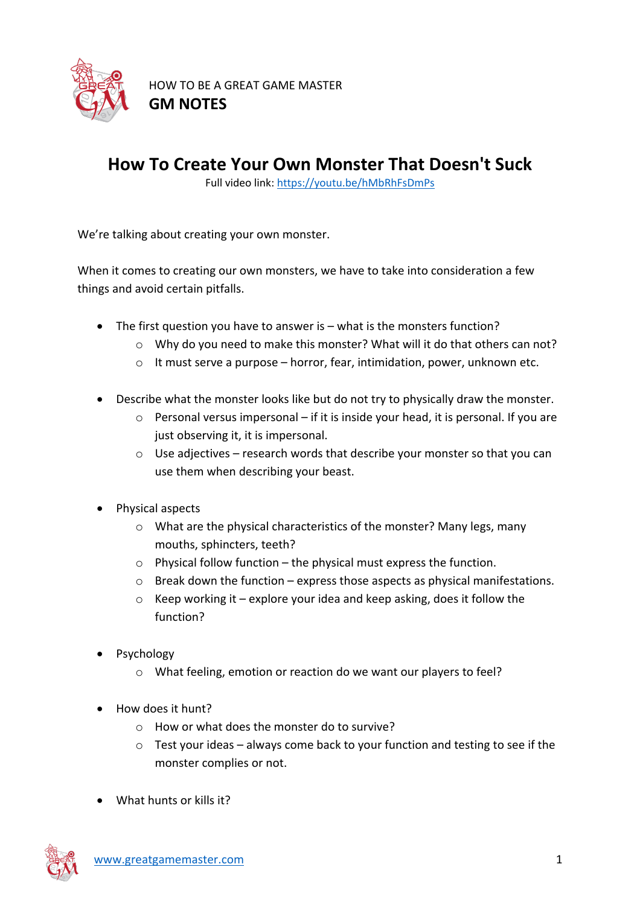

## **How To Create Your Own Monster That Doesn't Suck**

Full video link: https://youtu.be/hMbRhFsDmPs

We're talking about creating your own monster.

When it comes to creating our own monsters, we have to take into consideration a few things and avoid certain pitfalls.

- The first question you have to answer is what is the monsters function?
	- o Why do you need to make this monster? What will it do that others can not?
	- o It must serve a purpose horror, fear, intimidation, power, unknown etc.
- Describe what the monster looks like but do not try to physically draw the monster.
	- o Personal versus impersonal if it is inside your head, it is personal. If you are just observing it, it is impersonal.
	- $\circ$  Use adjectives research words that describe your monster so that you can use them when describing your beast.
- Physical aspects
	- o What are the physical characteristics of the monster? Many legs, many mouths, sphincters, teeth?
	- $\circ$  Physical follow function the physical must express the function.
	- o Break down the function express those aspects as physical manifestations.
	- $\circ$  Keep working it explore your idea and keep asking, does it follow the function?
- Psychology
	- o What feeling, emotion or reaction do we want our players to feel?
- How does it hunt?
	- o How or what does the monster do to survive?
	- o Test your ideas always come back to your function and testing to see if the monster complies or not.
- What hunts or kills it?